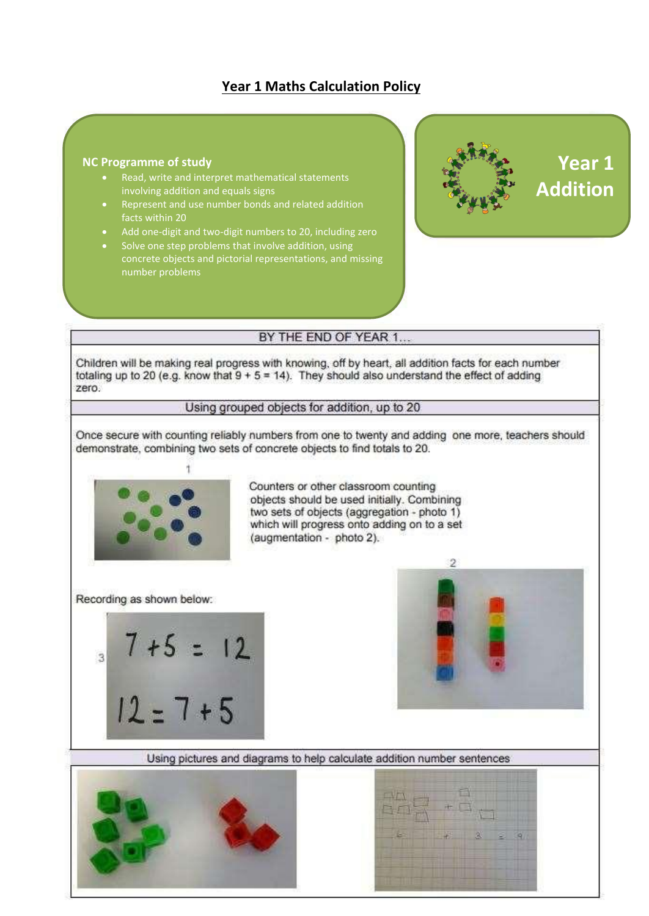## **Year 1 Maths Calculation Policy**

#### **NC** Programme of study  $\mathbf{r}$ **NC Programme of study** *NC* Programme of study

- Read, write and interpret mathematical statements involving addition and equals signs
- Represent and use number bonds and related addition  $\frac{1}{2}$  and two digital numbers to  $20,$  including  $\frac{1}{2}$  and  $\frac{1}{2}$  and  $\frac{1}{2}$  and  $\frac{1}{2}$  and  $\frac{1}{2}$  and  $\frac{1}{2}$  and  $\frac{1}{2}$  and  $\frac{1}{2}$  and  $\frac{1}{2}$  and  $\frac{1}{2}$  and  $\frac{1}{2}$  and  $\frac{1}{2}$  and facts within 20
- Add one-digit and two-digit numbers to 20, including zero
- Solve one step problems that involve addition, using concrete objects and pictorial representations, and missing number problems



### BY THE END OF YEAR 1...

Children will be making real progress with knowing, off by heart, all addition facts for each number totaling up to 20 (e.g. know that  $9 + 5 = 14$ ). They should also understand the effect of adding zero.

#### Using grouped objects for addition, up to 20

Once secure with counting reliably numbers from one to twenty and adding one more, teachers should demonstrate, combining two sets of concrete objects to find totals to 20.



Counters or other classroom counting objects should be used initially. Combining two sets of objects (aggregation - photo 1) which will progress onto adding on to a set (augmentation - photo 2).

Recording as shown below:





Using pictures and diagrams to help calculate addition number sentences



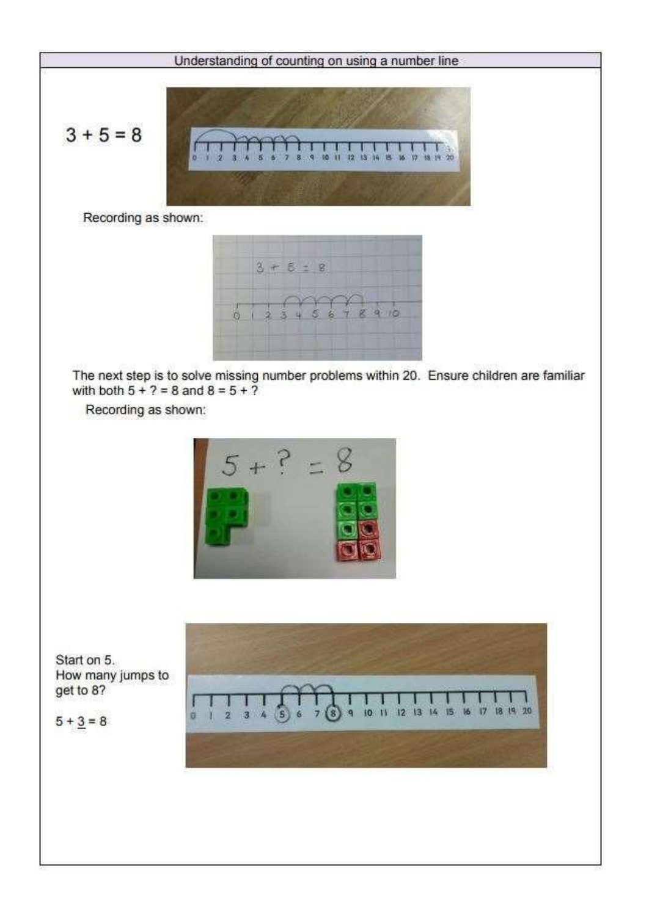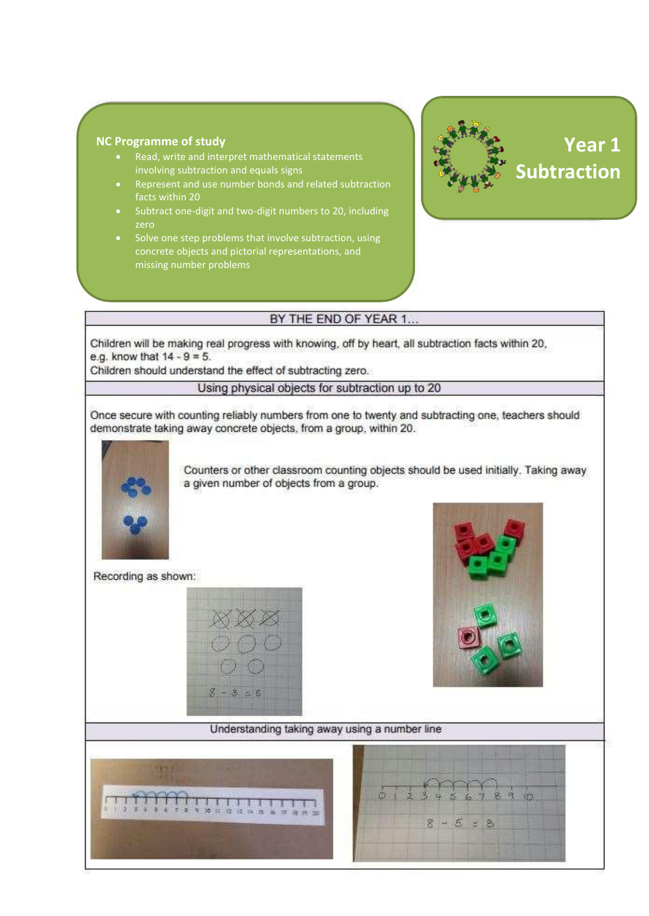#### **NC Programme of study Example 20**

- Read, write and interpret mathematical statements involving subtraction and equals signs
- Represent and use number bonds and related subtraction  $\frac{1}{2}$  facts within 20,  $\frac{1}{2}$  and two digital numbers to 20,  $\frac{1}{2}$
- Subtract one-digit and two-digit numbers to 20, including zero
- Solve one step problems that involve subtraction, using concrete objects and pictorial representations, and missing number problems



# **Year 1 Year 1 Subtraction Subtraction**

#### BY THE END OF YEAR 1...

Children will be making real progress with knowing, off by heart, all subtraction facts within 20, e.g. know that  $14 - 9 = 5$ .

Children should understand the effect of subtracting zero.

Using physical objects for subtraction up to 20

Once secure with counting reliably numbers from one to twenty and subtracting one, teachers should demonstrate taking away concrete objects, from a group, within 20.



Counters or other classroom counting objects should be used initially. Taking away a given number of objects from a group.

Recording as shown:





#### Understanding taking away using a number line



7 8 9  $\mathfrak{g}$  $8 - 5 = 8$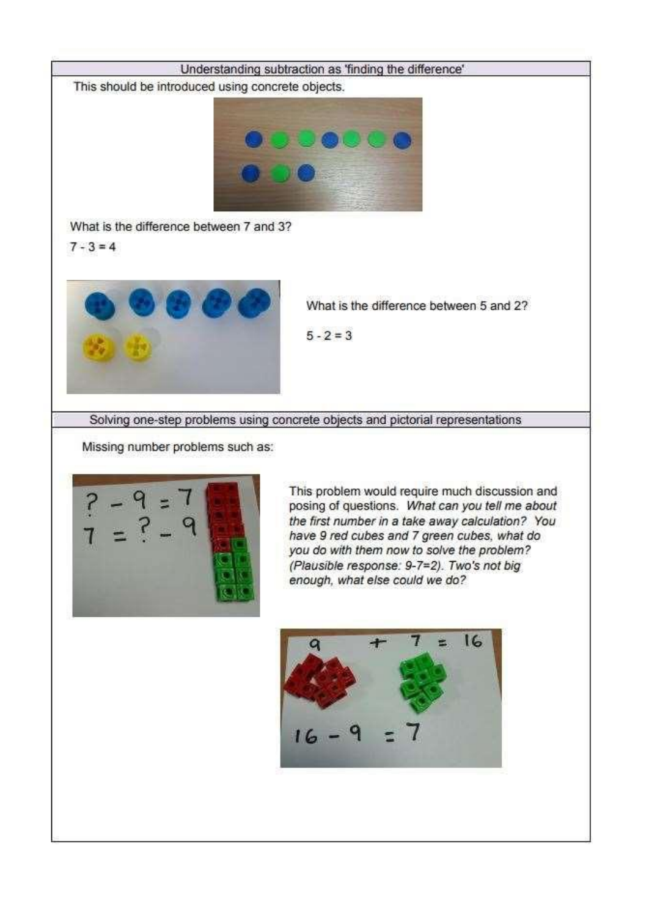

This should be introduced using concrete objects.



What is the difference between 7 and 3?

 $7 - 3 = 4$ 



What is the difference between 5 and 2?

 $5 - 2 = 3$ 

Solving one-step problems using concrete objects and pictorial representations

Missing number problems such as:



This problem would require much discussion and posing of questions. What can you tell me about the first number in a take away calculation? You have 9 red cubes and 7 green cubes, what do you do with them now to solve the problem? (Plausible response: 9-7=2). Two's not big enough, what else could we do?

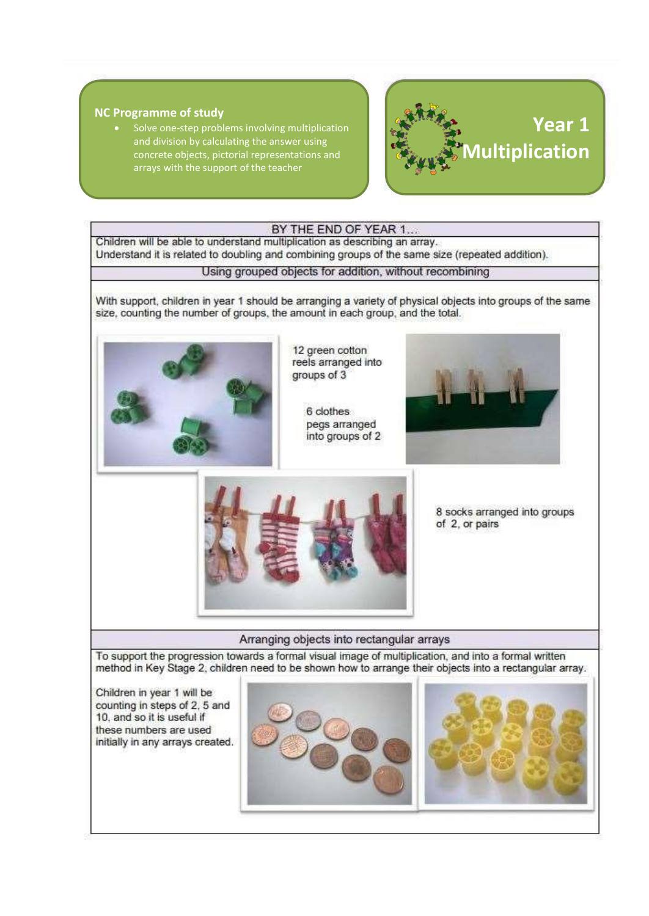#### **NC Programme of study**

Solve one-step problems involving multiplication and division by calculating the answer using concrete objects, pictorial representations and arrays with the support of the teacher



#### BY THE END OF YEAR 1...

Children will be able to understand multiplication as describing an array. Understand it is related to doubling and combining groups of the same size (repeated addition).

Using grouped objects for addition, without recombining

With support, children in year 1 should be arranging a variety of physical objects into groups of the same size, counting the number of groups, the amount in each group, and the total.



12 green cotton reels arranged into groups of 3

6 clothes pegs arranged into groups of 2





8 socks arranged into groups of 2, or pairs

Arranging objects into rectangular arrays

To support the progression towards a formal visual image of multiplication, and into a formal written method in Key Stage 2, children need to be shown how to arrange their objects into a rectangular array.

Children in year 1 will be counting in steps of 2, 5 and 10, and so it is useful if these numbers are used initially in any arrays created.



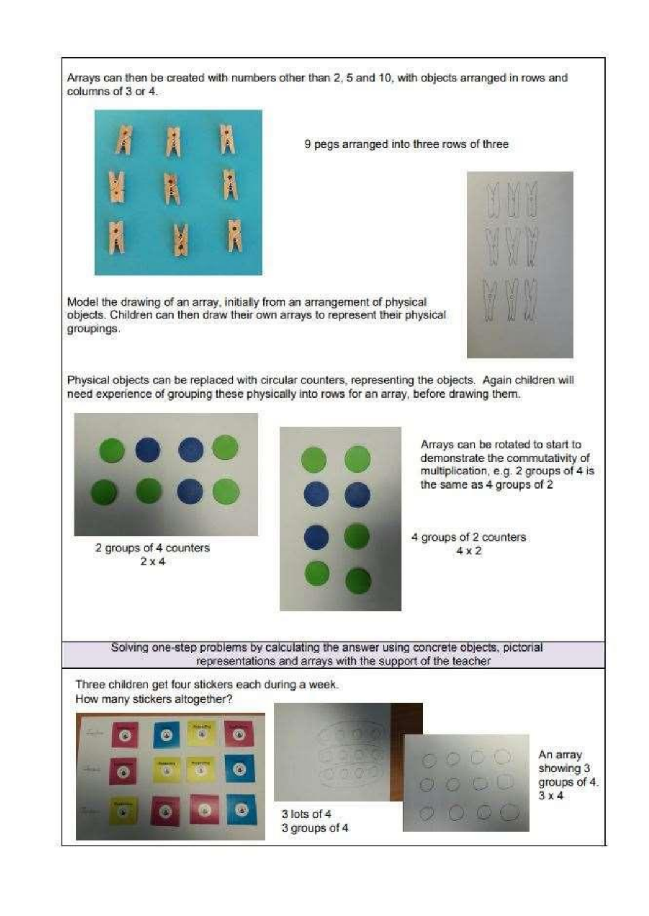Arrays can then be created with numbers other than 2, 5 and 10, with objects arranged in rows and columns of 3 or 4.



9 pegs arranged into three rows of three

Model the drawing of an array, initially from an arrangement of physical objects. Children can then draw their own arrays to represent their physical groupings.



Physical objects can be replaced with circular counters, representing the objects. Again children will need experience of grouping these physically into rows for an array, before drawing them.

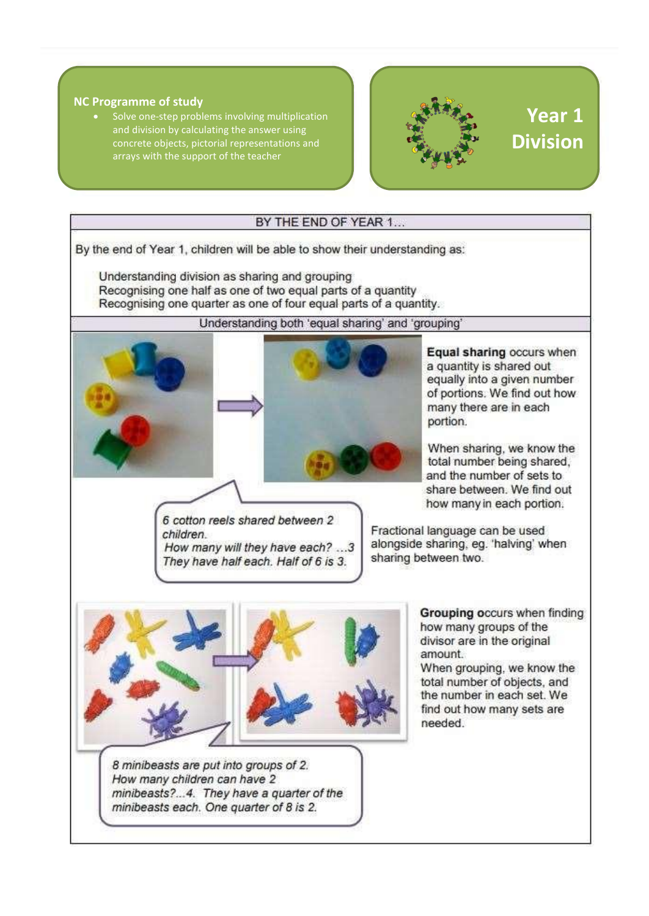#### **NC Programme of study**

• Solve one-step problems involving multiplication and division by calculating the answer using concrete objects, pictorial representations and arrays with the support of the teacher



## **Year 1 Division**